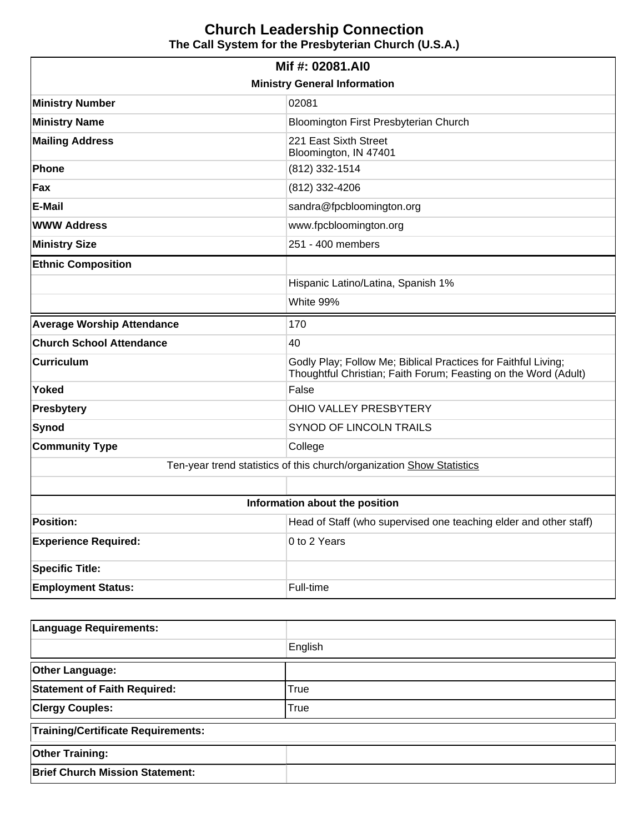# **Church Leadership Connection The Call System for the Presbyterian Church (U.S.A.)**

| Mif #: 02081.AI0                                                      |                                                                                                                                   |  |  |  |
|-----------------------------------------------------------------------|-----------------------------------------------------------------------------------------------------------------------------------|--|--|--|
| <b>Ministry General Information</b>                                   |                                                                                                                                   |  |  |  |
| <b>Ministry Number</b>                                                | 02081                                                                                                                             |  |  |  |
| <b>Ministry Name</b>                                                  | Bloomington First Presbyterian Church                                                                                             |  |  |  |
| <b>Mailing Address</b>                                                | 221 East Sixth Street<br>Bloomington, IN 47401                                                                                    |  |  |  |
| Phone                                                                 | (812) 332-1514                                                                                                                    |  |  |  |
| Fax                                                                   | (812) 332-4206                                                                                                                    |  |  |  |
| E-Mail                                                                | sandra@fpcbloomington.org                                                                                                         |  |  |  |
| <b>WWW Address</b>                                                    | www.fpcbloomington.org                                                                                                            |  |  |  |
| <b>Ministry Size</b>                                                  | 251 - 400 members                                                                                                                 |  |  |  |
| <b>Ethnic Composition</b>                                             |                                                                                                                                   |  |  |  |
|                                                                       | Hispanic Latino/Latina, Spanish 1%                                                                                                |  |  |  |
|                                                                       | White 99%                                                                                                                         |  |  |  |
| <b>Average Worship Attendance</b>                                     | 170                                                                                                                               |  |  |  |
| <b>Church School Attendance</b>                                       | 40                                                                                                                                |  |  |  |
| <b>Curriculum</b>                                                     | Godly Play; Follow Me; Biblical Practices for Faithful Living;<br>Thoughtful Christian; Faith Forum; Feasting on the Word (Adult) |  |  |  |
| Yoked                                                                 | False                                                                                                                             |  |  |  |
| <b>Presbytery</b>                                                     | OHIO VALLEY PRESBYTERY                                                                                                            |  |  |  |
| Synod                                                                 | SYNOD OF LINCOLN TRAILS                                                                                                           |  |  |  |
| <b>Community Type</b>                                                 | College                                                                                                                           |  |  |  |
| Ten-year trend statistics of this church/organization Show Statistics |                                                                                                                                   |  |  |  |
|                                                                       |                                                                                                                                   |  |  |  |
| Information about the position                                        |                                                                                                                                   |  |  |  |
| <b>Position:</b>                                                      | Head of Staff (who supervised one teaching elder and other staff)                                                                 |  |  |  |
| <b>Experience Required:</b>                                           | 0 to 2 Years                                                                                                                      |  |  |  |
| <b>Specific Title:</b>                                                |                                                                                                                                   |  |  |  |
| <b>Employment Status:</b>                                             | Full-time                                                                                                                         |  |  |  |

| <b>Language Requirements:</b>             |         |  |
|-------------------------------------------|---------|--|
|                                           | English |  |
| <b>Other Language:</b>                    |         |  |
| <b>Statement of Faith Required:</b>       | True    |  |
| <b>Clergy Couples:</b>                    | True    |  |
| <b>Training/Certificate Requirements:</b> |         |  |
| <b>Other Training:</b>                    |         |  |
| <b>Brief Church Mission Statement:</b>    |         |  |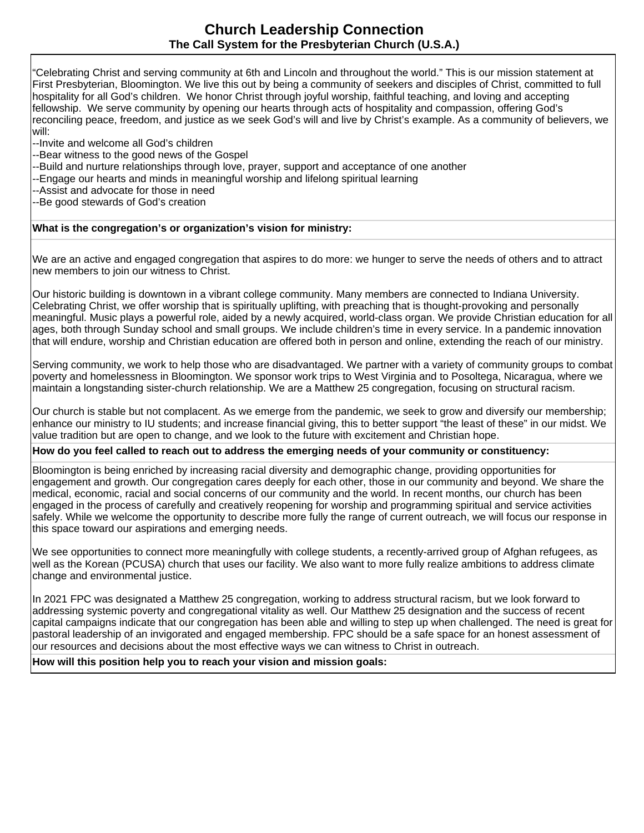# **Church Leadership Connection The Call System for the Presbyterian Church (U.S.A.)**

"Celebrating Christ and serving community at 6th and Lincoln and throughout the world." This is our mission statement at First Presbyterian, Bloomington. We live this out by being a community of seekers and disciples of Christ, committed to full hospitality for all God's children. We honor Christ through joyful worship, faithful teaching, and loving and accepting fellowship. We serve community by opening our hearts through acts of hospitality and compassion, offering God's reconciling peace, freedom, and justice as we seek God's will and live by Christ's example. As a community of believers, we will:

- --Invite and welcome all God's children
- --Bear witness to the good news of the Gospel
- --Build and nurture relationships through love, prayer, support and acceptance of one another
- --Engage our hearts and minds in meaningful worship and lifelong spiritual learning
- --Assist and advocate for those in need
- --Be good stewards of God's creation

### **What is the congregation's or organization's vision for ministry:**

We are an active and engaged congregation that aspires to do more: we hunger to serve the needs of others and to attract new members to join our witness to Christ.

Our historic building is downtown in a vibrant college community. Many members are connected to Indiana University. Celebrating Christ, we offer worship that is spiritually uplifting, with preaching that is thought-provoking and personally meaningful. Music plays a powerful role, aided by a newly acquired, world-class organ. We provide Christian education for all ages, both through Sunday school and small groups. We include children's time in every service. In a pandemic innovation that will endure, worship and Christian education are offered both in person and online, extending the reach of our ministry.

Serving community, we work to help those who are disadvantaged. We partner with a variety of community groups to combat poverty and homelessness in Bloomington. We sponsor work trips to West Virginia and to Posoltega, Nicaragua, where we maintain a longstanding sister-church relationship. We are a Matthew 25 congregation, focusing on structural racism.

Our church is stable but not complacent. As we emerge from the pandemic, we seek to grow and diversify our membership; enhance our ministry to IU students; and increase financial giving, this to better support "the least of these" in our midst. We value tradition but are open to change, and we look to the future with excitement and Christian hope.

#### **How do you feel called to reach out to address the emerging needs of your community or constituency:**

Bloomington is being enriched by increasing racial diversity and demographic change, providing opportunities for engagement and growth. Our congregation cares deeply for each other, those in our community and beyond. We share the medical, economic, racial and social concerns of our community and the world. In recent months, our church has been engaged in the process of carefully and creatively reopening for worship and programming spiritual and service activities safely. While we welcome the opportunity to describe more fully the range of current outreach, we will focus our response in this space toward our aspirations and emerging needs.

We see opportunities to connect more meaningfully with college students, a recently-arrived group of Afghan refugees, as well as the Korean (PCUSA) church that uses our facility. We also want to more fully realize ambitions to address climate change and environmental justice.

In 2021 FPC was designated a Matthew 25 congregation, working to address structural racism, but we look forward to addressing systemic poverty and congregational vitality as well. Our Matthew 25 designation and the success of recent capital campaigns indicate that our congregation has been able and willing to step up when challenged. The need is great for pastoral leadership of an invigorated and engaged membership. FPC should be a safe space for an honest assessment of our resources and decisions about the most effective ways we can witness to Christ in outreach.

### **How will this position help you to reach your vision and mission goals:**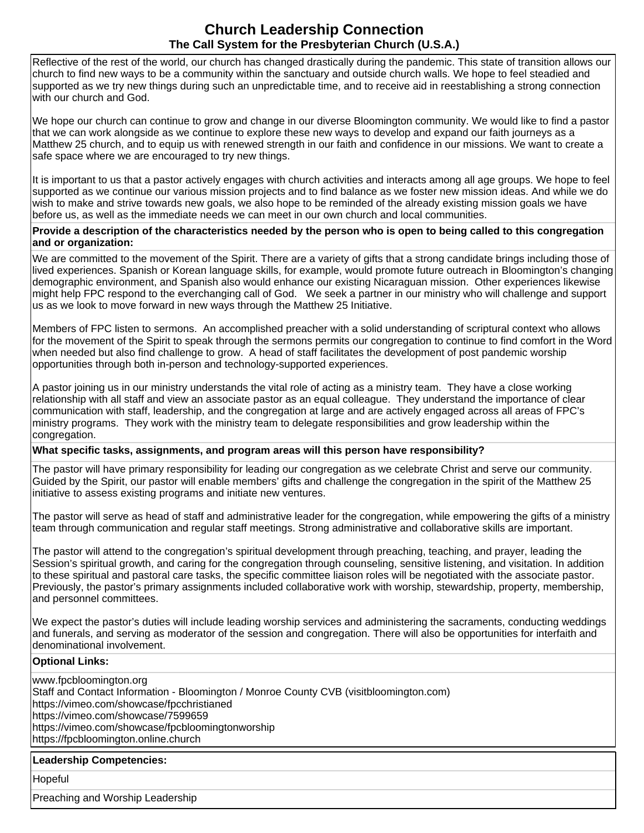# **Church Leadership Connection The Call System for the Presbyterian Church (U.S.A.)**

Reflective of the rest of the world, our church has changed drastically during the pandemic. This state of transition allows our church to find new ways to be a community within the sanctuary and outside church walls. We hope to feel steadied and supported as we try new things during such an unpredictable time, and to receive aid in reestablishing a strong connection with our church and God.

We hope our church can continue to grow and change in our diverse Bloomington community. We would like to find a pastor that we can work alongside as we continue to explore these new ways to develop and expand our faith journeys as a Matthew 25 church, and to equip us with renewed strength in our faith and confidence in our missions. We want to create a safe space where we are encouraged to try new things.

It is important to us that a pastor actively engages with church activities and interacts among all age groups. We hope to feel supported as we continue our various mission projects and to find balance as we foster new mission ideas. And while we do wish to make and strive towards new goals, we also hope to be reminded of the already existing mission goals we have before us, as well as the immediate needs we can meet in our own church and local communities.

#### **Provide a description of the characteristics needed by the person who is open to being called to this congregation and or organization:**

We are committed to the movement of the Spirit. There are a variety of gifts that a strong candidate brings including those of lived experiences. Spanish or Korean language skills, for example, would promote future outreach in Bloomington's changing demographic environment, and Spanish also would enhance our existing Nicaraguan mission. Other experiences likewise might help FPC respond to the everchanging call of God. We seek a partner in our ministry who will challenge and support us as we look to move forward in new ways through the Matthew 25 Initiative.

Members of FPC listen to sermons. An accomplished preacher with a solid understanding of scriptural context who allows for the movement of the Spirit to speak through the sermons permits our congregation to continue to find comfort in the Word when needed but also find challenge to grow. A head of staff facilitates the development of post pandemic worship opportunities through both in-person and technology-supported experiences.

A pastor joining us in our ministry understands the vital role of acting as a ministry team. They have a close working relationship with all staff and view an associate pastor as an equal colleague. They understand the importance of clear communication with staff, leadership, and the congregation at large and are actively engaged across all areas of FPC's ministry programs. They work with the ministry team to delegate responsibilities and grow leadership within the congregation.

### **What specific tasks, assignments, and program areas will this person have responsibility?**

The pastor will have primary responsibility for leading our congregation as we celebrate Christ and serve our community. Guided by the Spirit, our pastor will enable members' gifts and challenge the congregation in the spirit of the Matthew 25 initiative to assess existing programs and initiate new ventures.

The pastor will serve as head of staff and administrative leader for the congregation, while empowering the gifts of a ministry team through communication and regular staff meetings. Strong administrative and collaborative skills are important.

The pastor will attend to the congregation's spiritual development through preaching, teaching, and prayer, leading the Session's spiritual growth, and caring for the congregation through counseling, sensitive listening, and visitation. In addition to these spiritual and pastoral care tasks, the specific committee liaison roles will be negotiated with the associate pastor. Previously, the pastor's primary assignments included collaborative work with worship, stewardship, property, membership, and personnel committees.

We expect the pastor's duties will include leading worship services and administering the sacraments, conducting weddings and funerals, and serving as moderator of the session and congregation. There will also be opportunities for interfaith and denominational involvement.

#### **Optional Links:**

www.fpcbloomington.org Staff and Contact Information - Bloomington / Monroe County CVB (visitbloomington.com) https://vimeo.com/showcase/fpcchristianed https://vimeo.com/showcase/7599659 https://vimeo.com/showcase/fpcbloomingtonworship https://fpcbloomington.online.church

#### **Leadership Competencies:**

Hopeful

Preaching and Worship Leadership